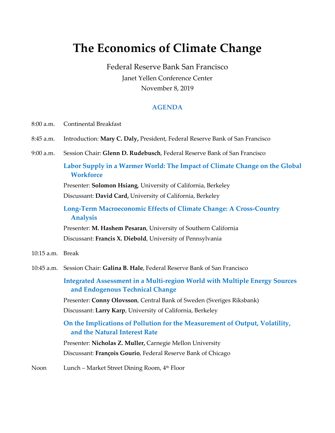## **The Economics of Climate Change**

Federal Reserve Bank San Francisco Janet Yellen Conference Center November 8, 2019

## **AGENDA**

- 8:00 a.m. Continental Breakfast
- 8:45 a.m. Introduction: **Mary C. Daly,** President, Federal Reserve Bank of San Francisco
- 9:00 a.m. Session Chair: **Glenn D. Rudebusch**, Federal Reserve Bank of San Francisco

## **Labor Supply in a Warmer World: The Impact of Climate Change on the Global Workforce**

Presenter: **Solomon Hsiang**, University of California, Berkeley

Discussant: **David Card,** University of California, Berkeley

**Long-Term Macroeconomic Effects of Climate Change: A Cross-Country Analysis**

Presenter: **M. Hashem Pesaran**, University of Southern California Discussant: **Francis X. Diebold**, University of Pennsylvania

- 10:15 a.m. Break
- 10:45 a.m. Session Chair: **Galina B. Hale**, Federal Reserve Bank of San Francisco

**Integrated Assessment in a Multi-region World with Multiple Energy Sources and Endogenous Technical Change**

Presenter: **Conny Olovsson**, Central Bank of Sweden (Sveriges Riksbank) Discussant: **Larry Karp**, University of California, Berkeley

**On the Implications of Pollution for the Measurement of Output, Volatility, and the Natural Interest Rate**

Presenter: **Nicholas Z. Muller,** Carnegie Mellon University Discussant: **François Gourio**, Federal Reserve Bank of Chicago

Noon Lunch – Market Street Dining Room, 4<sup>th</sup> Floor